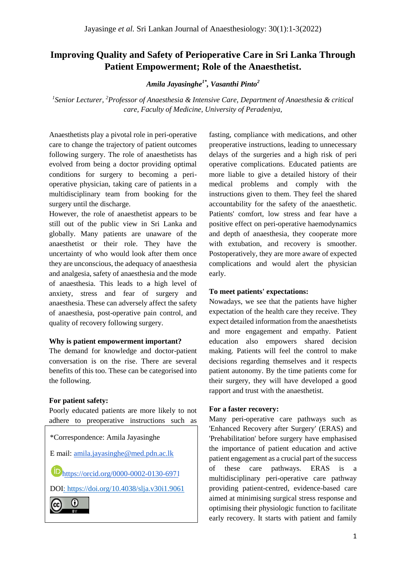# **Improving Quality and Safety of Perioperative Care in Sri Lanka Through Patient Empowerment; Role of the Anaesthetist.**

*Amila Jayasinghe1\*, Vasanthi Pinto<sup>2</sup>*

*1 Senior Lecturer, <sup>2</sup>Professor of Anaesthesia & Intensive Care, Department of Anaesthesia & critical care, Faculty of Medicine, University of Peradeniya,* 

Anaesthetists play a pivotal role in peri-operative care to change the trajectory of patient outcomes following surgery. The role of anaesthetists has evolved from being a doctor providing optimal conditions for surgery to becoming a perioperative physician, taking care of patients in a multidisciplinary team from booking for the surgery until the discharge.

However, the role of anaesthetist appears to be still out of the public view in Sri Lanka and globally. Many patients are unaware of the anaesthetist or their role. They have the uncertainty of who would look after them once they are unconscious, the adequacy of anaesthesia and analgesia, safety of anaesthesia and the mode of anaesthesia. This leads to a high level of anxiety, stress and fear of surgery and anaesthesia. These can adversely affect the safety of anaesthesia, post-operative pain control, and quality of recovery following surgery.

### **Why is patient empowerment important?**

The demand for knowledge and doctor-patient conversation is on the rise. There are several benefits of this too. These can be categorised into the following.

### **For patient safety:**

Poorly educated patients are more likely to not adhere to preoperative instructions such as



**D**[https://orcid.org/0000-0002-0130-69](https://orcid.org/0000-0002-0130-6971)71

DOI: <https://doi.org/10.4038/slja.v30i1.9061>



fasting, compliance with medications, and other preoperative instructions, leading to unnecessary delays of the surgeries and a high risk of peri operative complications. Educated patients are more liable to give a detailed history of their medical problems and comply with the instructions given to them. They feel the shared accountability for the safety of the anaesthetic. Patients' comfort, low stress and fear have a positive effect on peri-operative haemodynamics and depth of anaesthesia, they cooperate more with extubation, and recovery is smoother. Postoperatively, they are more aware of expected complications and would alert the physician early.

### **To meet patients' expectations:**

Nowadays, we see that the patients have higher expectation of the health care they receive. They expect detailed information from the anaesthetists and more engagement and empathy. Patient education also empowers shared decision making. Patients will feel the control to make decisions regarding themselves and it respects patient autonomy. By the time patients come for their surgery, they will have developed a good rapport and trust with the anaesthetist.

### **For a faster recovery:**

Many peri-operative care pathways such as 'Enhanced Recovery after Surgery' (ERAS) and 'Prehabilitation' before surgery have emphasised the importance of patient education and active patient engagement as a crucial part of the success of these care pathways. ERAS is a multidisciplinary peri-operative care pathway providing patient-centred, evidence-based care aimed at minimising surgical stress response and optimising their physiologic function to facilitate early recovery. It starts with patient and family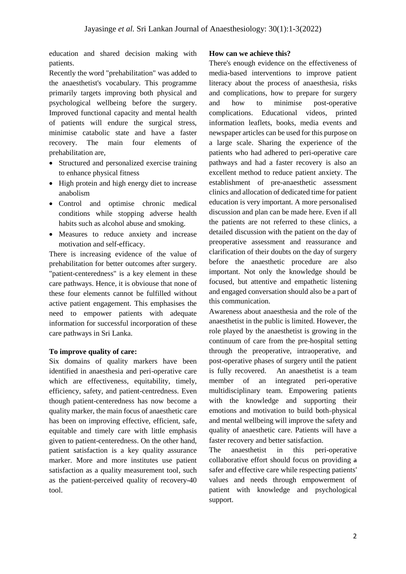education and shared decision making with patients.

Recently the word "prehabilitation" was added to the anaesthetist's vocabulary. This programme primarily targets improving both physical and psychological wellbeing before the surgery. Improved functional capacity and mental health of patients will endure the surgical stress, minimise catabolic state and have a faster recovery. The main four elements of prehabilitation are,

- Structured and personalized exercise training to enhance physical fitness
- High protein and high energy diet to increase anabolism
- Control and optimise chronic medical conditions while stopping adverse health habits such as alcohol abuse and smoking.
- Measures to reduce anxiety and increase motivation and self-efficacy.

There is increasing evidence of the value of prehabilitation for better outcomes after surgery. "patient-centeredness" is a key element in these care pathways. Hence, it is obviouse that none of these four elements cannot be fulfilled without active patient engagement. This emphasises the need to empower patients with adequate information for successful incorporation of these care pathways in Sri Lanka.

### **To improve quality of care:**

Six domains of quality markers have been identified in anaesthesia and peri-operative care which are effectiveness, equitability, timely, efficiency, safety, and patient-centredness. Even though patient-centeredness has now become a quality marker, the main focus of anaesthetic care has been on improving effective, efficient, safe, equitable and timely care with little emphasis given to patient-centeredness. On the other hand, patient satisfaction is a key quality assurance marker. More and more institutes use patient satisfaction as a quality measurement tool, such as the patient-perceived quality of recovery-40 tool.

#### **How can we achieve this?**

There's enough evidence on the effectiveness of media-based interventions to improve patient literacy about the process of anaesthesia, risks and complications, how to prepare for surgery and how to minimise post-operative complications. Educational videos, printed information leaflets, books, media events and newspaper articles can be used for this purpose on a large scale. Sharing the experience of the patients who had adhered to peri-operative care pathways and had a faster recovery is also an excellent method to reduce patient anxiety. The establishment of pre-anaesthetic assessment clinics and allocation of dedicated time for patient education is very important. A more personalised discussion and plan can be made here. Even if all the patients are not referred to these clinics, a detailed discussion with the patient on the day of preoperative assessment and reassurance and clarification of their doubts on the day of surgery before the anaesthetic procedure are also important. Not only the knowledge should be focused, but attentive and empathetic listening and engaged conversation should also be a part of this communication.

Awareness about anaesthesia and the role of the anaesthetist in the public is limited. However, the role played by the anaesthetist is growing in the continuum of care from the pre-hospital setting through the preoperative, intraoperative, and post-operative phases of surgery until the patient is fully recovered. An anaesthetist is a team member of an integrated peri-operative multidisciplinary team. Empowering patients with the knowledge and supporting their emotions and motivation to build both-physical and mental wellbeing will improve the safety and quality of anaesthetic care. Patients will have a faster recovery and better satisfaction.

The anaesthetist in this peri-operative collaborative effort should focus on providing a safer and effective care while respecting patients' values and needs through empowerment of patient with knowledge and psychological support.